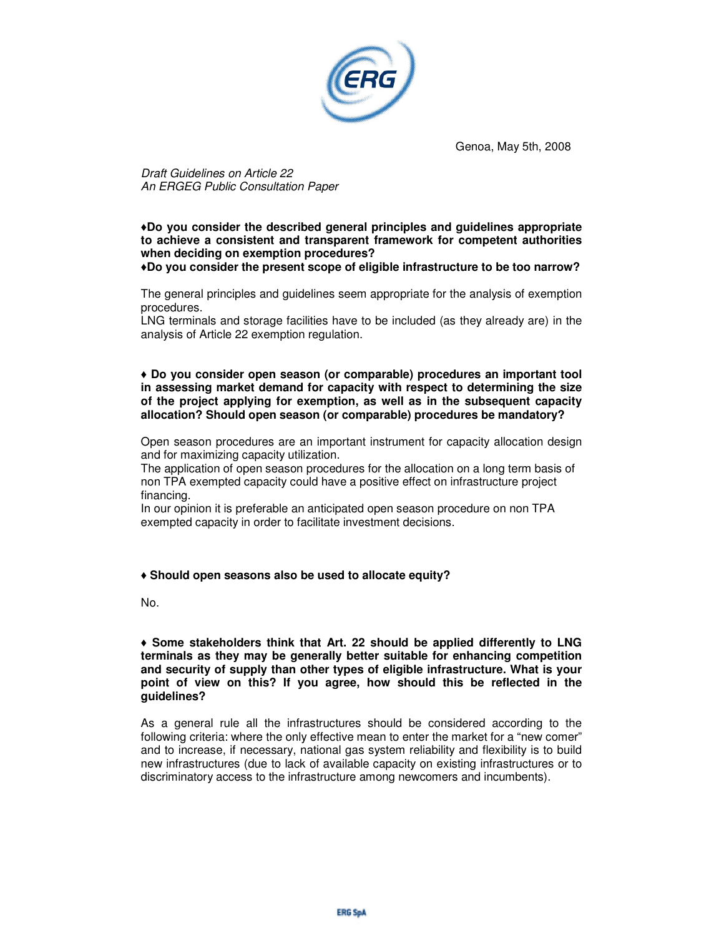

Genoa, May 5th, 2008

Draft Guidelines on Article 22 An ERGEG Public Consultation Paper

♦**Do you consider the described general principles and guidelines appropriate to achieve a consistent and transparent framework for competent authorities when deciding on exemption procedures?** 

♦**Do you consider the present scope of eligible infrastructure to be too narrow?** 

The general principles and guidelines seem appropriate for the analysis of exemption procedures.

LNG terminals and storage facilities have to be included (as they already are) in the analysis of Article 22 exemption regulation.

♦ **Do you consider open season (or comparable) procedures an important tool in assessing market demand for capacity with respect to determining the size of the project applying for exemption, as well as in the subsequent capacity allocation? Should open season (or comparable) procedures be mandatory?** 

Open season procedures are an important instrument for capacity allocation design and for maximizing capacity utilization.

The application of open season procedures for the allocation on a long term basis of non TPA exempted capacity could have a positive effect on infrastructure project financing.

In our opinion it is preferable an anticipated open season procedure on non TPA exempted capacity in order to facilitate investment decisions.

# ♦ **Should open seasons also be used to allocate equity?**

No.

♦ **Some stakeholders think that Art. 22 should be applied differently to LNG terminals as they may be generally better suitable for enhancing competition and security of supply than other types of eligible infrastructure. What is your point of view on this? If you agree, how should this be reflected in the guidelines?** 

As a general rule all the infrastructures should be considered according to the following criteria: where the only effective mean to enter the market for a "new comer" and to increase, if necessary, national gas system reliability and flexibility is to build new infrastructures (due to lack of available capacity on existing infrastructures or to discriminatory access to the infrastructure among newcomers and incumbents).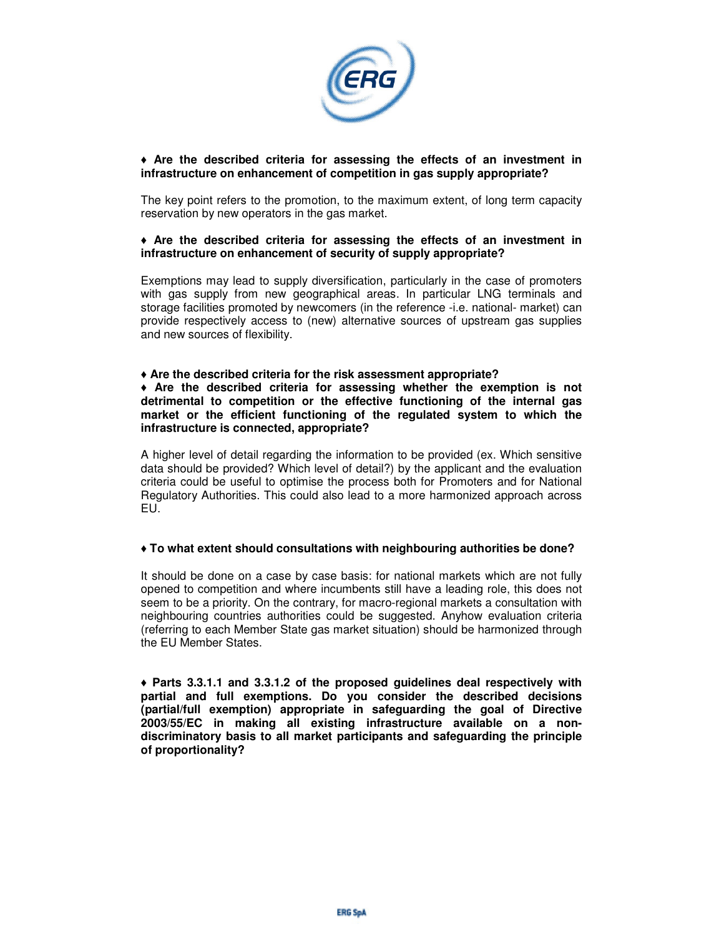

## ♦ **Are the described criteria for assessing the effects of an investment in infrastructure on enhancement of competition in gas supply appropriate?**

The key point refers to the promotion, to the maximum extent, of long term capacity reservation by new operators in the gas market.

### ♦ **Are the described criteria for assessing the effects of an investment in infrastructure on enhancement of security of supply appropriate?**

Exemptions may lead to supply diversification, particularly in the case of promoters with gas supply from new geographical areas. In particular LNG terminals and storage facilities promoted by newcomers (in the reference -i.e. national- market) can provide respectively access to (new) alternative sources of upstream gas supplies and new sources of flexibility.

### ♦ **Are the described criteria for the risk assessment appropriate?**

♦ **Are the described criteria for assessing whether the exemption is not detrimental to competition or the effective functioning of the internal gas market or the efficient functioning of the regulated system to which the infrastructure is connected, appropriate?** 

A higher level of detail regarding the information to be provided (ex. Which sensitive data should be provided? Which level of detail?) by the applicant and the evaluation criteria could be useful to optimise the process both for Promoters and for National Regulatory Authorities. This could also lead to a more harmonized approach across EU.

### ♦ **To what extent should consultations with neighbouring authorities be done?**

It should be done on a case by case basis: for national markets which are not fully opened to competition and where incumbents still have a leading role, this does not seem to be a priority. On the contrary, for macro-regional markets a consultation with neighbouring countries authorities could be suggested. Anyhow evaluation criteria (referring to each Member State gas market situation) should be harmonized through the EU Member States.

♦ **Parts 3.3.1.1 and 3.3.1.2 of the proposed guidelines deal respectively with partial and full exemptions. Do you consider the described decisions (partial/full exemption) appropriate in safeguarding the goal of Directive 2003/55/EC in making all existing infrastructure available on a nondiscriminatory basis to all market participants and safeguarding the principle of proportionality?**